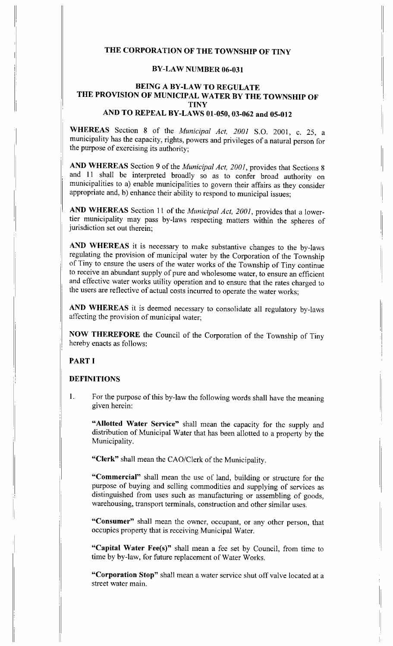# THE CORPORATION OF THE TOWNSHIP OF TINY

#### BY-LAW NUMBER 06-031

## BEING A BY-LAW TO REGULATE THE PROVISION OF MUNICIPAL WATER BY THE TOWNSHIP OF **TINY**

# AND TO REPEAL BY-LAWS 01-050,03-062 and 05-012

WHEREAS Section 8 of the Municipal Act, 2001 S.O. 2001, c. 25, a municipality has the capacity, rights, powers and privileges of a natural person for the purpose of exercising its authority;

AND WHEREAS Section 9 of the Municipal Act, 2001, provides that Sections 8 and 11 shall be interpreted broadly so as to confer broad authority on municipalities to a) enable municipalities to govern their affairs as they consider appropriate and, b) enhance their ability to respond to municipal issues;

AND WHEREAS Section 11 of the Municipal Act, 2001, provides that a lowertier municipality may pass by-laws respecting matters within the spheres of jurisdiction set out therein;

AND WHEREAS it is necessary to make substantive changes to the by-laws regulating the provision of municipal water by the Corporation of the Township of Tiny to ensure the users of the water works of the Township of Tiny continue to receive an abundant supply of pure and wholesome water, to ensure an efficient and effective water works utility operation and to ensure that the rates charged to the users are reflective of actual costs incurred to operate the water works;

AND WHEREAS it is deemed necessary to consolidate all regulatory by-laws affecting the provision of municipal water;

NOW THEREFORE the Council of the Corporation of the Township of Tiny hereby enacts as follows:

#### PART I

#### DEFINITIONS

1. For the purpose of this by-law the following words shall have the meaning given herein:

"Allotted Water Service" shall mean the capacity for the supply and distribution of Municipal Water that has been allotted to a property by the Municipality .

"Clerk" shall mean the CAO/Clerk of the Municipality.

"Commercial" shall mean the use of land, building or structure for the purpose of buying and selling commodities and supplying of services as distinguished from uses such as manufacturing or assembling of goods, warehousing, transport terminals, construction and other similar uses.

"Consumer" shall mean the owner, occupant, or any other person, that occupies property that is receiving Municipal Water.

"Capital Water Fee(s)" shall mean a fee set by Council, from time to time by by-law, for future replacement of Water Works.

"Corporation Stop" shall mean a water service shut off valve located at a street water main.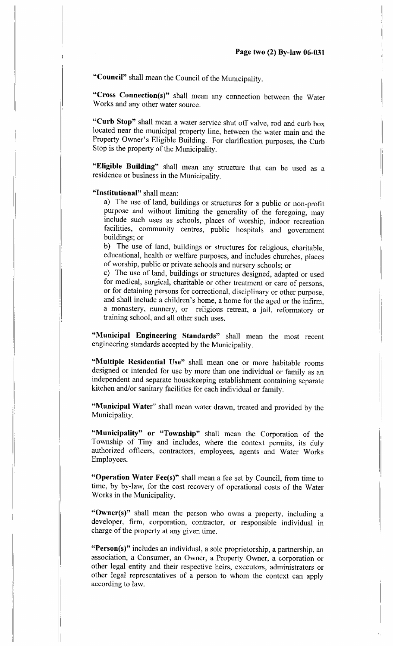"Council" shall mean the Council of the Municipality.

"Cross Connection(s)" shall mean any connection between the Water Works and any other water source.

"Curb Stop" shall mean a water service shut off valve, rod and curb box located near the municipal property line, between the water main and the Property Owner's Eligible Building. For clarification purposes, the Curb Stop is the property of the Municipality .

"Eligible Building" shall mean any structure that can be used as a residence or business in the Municipality.

"Institutional" shall mean:

a) The use of land, buildings or structures for a public or non-profit purpose and without limiting the generality of the foregoing, may include such uses as schools, places of worship, indoor recreation facilities, community centres, public hospitals and government buildings; or

b) The use of land, buildings or structures for religious, charitable, educational, health or welfare purposes, and includes churches, places of worship, public or private schools and nursery schools; or

c) The use of land, buildings or structures designed, adapted or used for medical, surgical, charitable or other treatment or care of persons, or for detaining persons for correctional, disciplinary or other purpose, and shall include a children's home, a home for the aged or the infirm, a monastery, nunnery, or religious retreat, a jail, reformatory or training school, and all other such uses.

"Municipal Engineering Standards" shall mean the most recent engineering standards accepted by the Municipality .

"Multiple Residential Use" shall mean one or more habitable rooms designed or intended for use by more than one individual or family as an independent and separate housekeeping establishment containing separate kitchen and/or sanitary facilities for each individual or family .

"Municipal Water" shall mean water drawn, treated and provided by the Municipality.

"Municipality" or "Township" shall mean the Corporation of the Township of Tiny and includes, where the context permits, its duly authorized officers, contractors, employees, agents and Water Works Employees.

"Operation Water Fee(s)" shall mean a fee set by Council, from time to time, by by-law, for the cost recovery of operational costs of the Water Works in the Municipality.

"Owner(s)" shall mean the person who owns a property, including a developer, firm, corporation, contractor, or responsible individual in charge of the property at any given time.

"Person(s)" includes an individual, a sole proprietorship, a partnership, an association, a Consumer, an Owner, a Property Owner, a corporation or other legal entity and their respective heirs, executors, administrators or other legal representatives of a person to whom the context can apply according to law.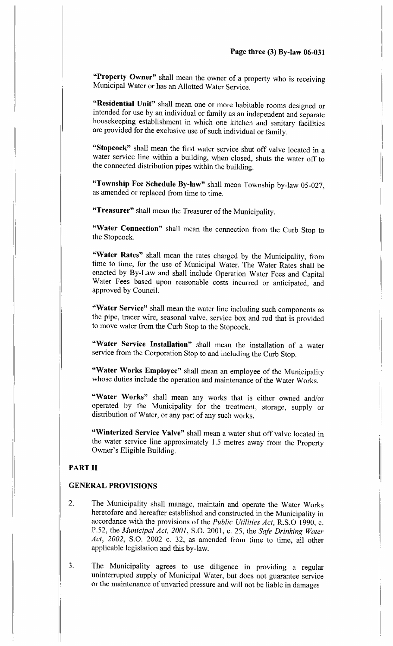"Property Owner" shall mean the owner of a property who is receiving Municipal Water or has an Allotted Water Service .

"Residential Unit" shall mean one or more habitable rooms designed or intended for use by an individual or family as an independent and separate housekeeping establishment in which one kitchen and sanitary facilities are provided for the exclusive use of such individual or family .

"Stopcock" shall mean the first water service shut off valve located in a water service line within a building, when closed, shuts the water off to the connected distribution pipes within the building.

"Township Fee Schedule By-law" shall mean Township by-law 05-027, as amended or replaced from time to time.

"Treasurer" shall mean the Treasurer of the Municipality.

"Water Connection" shall mean the connection from the Curb Stop to the Stopcock.

"Water Rates" shall mean the rates charged by the Municipality, from time to time, for the use of Municipal Water. The Water Rates shall be enacted by By-Law and shall include Operation Water Fees and Capital Water Fees based upon reasonable costs incurred or anticipated, and approved by Council.

"Water Service" shall mean the water line including such components as the pipe, tracer wire, seasonal valve, service box and rod that is provided to move water from the Curb Stop to the Stopcock.

"Water Service Installation" shall mean the installation of a water service from the Corporation Stop to and including the Curb Stop.

"Water Works Employee" shall mean an employee of the Municipality whose duties include the operation and maintenance of the Water Works.

"Water Works" shall mean any works that is either owned and/or operated by the Municipality for the treatment, storage, supply or distribution of Water, or any part of any such works.

"Winterized Service Valve" shall mean a water shut off valve located in the water service line approximately 1.5 metres away from the Property Owner's Eligible Building.

## PART II

## GENERAL PROVISIONS

- 2. The Municipality shall manage, maintain and operate the Water Works heretofore and hereafter established and constructed in the Municipality in accordance with the provisions of the *Public Utilities Act*, R.S.O 1990, c. P.52, the Municipal Act, 2001, S.O. 2001, c. 25, the Safe Drinking Water Act,  $2002$ , S.O.  $2002$  c. 32, as amended from time to time, all other applicable legislation and this by-law.
- 3 . The Municipality agrees to use diligence in providing a regular uninterrupted supply of Municipal Water, but does not guarantee service or the maintenance of unvaried pressure and will not be liable in damages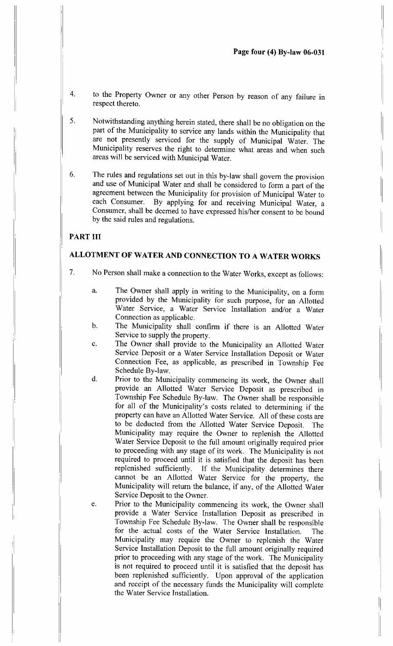- 4. to the Property Owner or any other Person by reason of any failure in respect thereto.
- <sup>5</sup> . Notwithstanding anything herein stated, there shall be no obligation on the part of the Municipality to service any lands within the Municipality that are not presently serviced for the supply of Municipal Water. The Municipality reserves the right to determine what areas and when such areas will be serviced with Municipal Water.
- 6. The rules and regulations set out in this by-law shall govern the provision and use of Municipal Water and shall be considered to form a part of the agreement between the Municipality for provision of Municipal Water to each Consumer. By applying for and receiving Municipal Water, a Consumer, shall be deemed to have expressed his/her consent to be bound by the said rules and regulations.

## PART III

## ALLOTMENT OF WATER AND CONNECTION TO A WATER WORKS

- $7<sub>1</sub>$ No Person shall make a connection to the Water Works, except as follows :
	- a. The Owner shall apply in writing to the Municipality, on a form provided by the Municipality for such purpose, for an Allotted Water Service, a Water Service Installation and/or a Water Connection as applicable.
	- b. The Municipality shall confirm if there is an Allotted Water Service to supply the property.
	- c. The Owner shall provide to the Municipality an Allotted Water Service Deposit or a Water Service Installation Deposit or Water Connection Fee, as applicable, as prescribed in Township Fee Schedule By-law.
	- d. Prior to the Municipality commencing its work, the Owner shall provide an Allotted Water Service Deposit as prescribed in Township Fee Schedule By-law. The Owner shall be responsible for all of the Municipality's costs related to determining if the property can have an Allotted Water Service. All of these costs are to be deducted from the Allotted Water Service Deposit. The Municipality may require the Owner to replenish the Allotted Water Service Deposit to the full amount originally required prior to proceeding with any stage of its work. The Municipality is not required to proceed until it is satisfied that the deposit has been replenished sufficiently. If the Municipality determines there cannot be an Allotted Water Service for the property, the Municipality will return the balance, if any, of the Allotted Water Service Deposit to the Owner.
	- e. Prior to the Municipality commencing its work, the Owner shall provide a Water Service Installation Deposit as prescribed in Township Fee Schedule By-law. The Owner shall be responsible for the actual costs of the Water Service Installation. Municipality may require the Owner to replenish the Water Service Installation Deposit to the full amount originally required prior to proceeding with any stage of the work. The Municipality is not required to proceed until it is satisfied that the deposit has been replenished sufficiently. Upon approval of the application and receipt of the necessary funds the Municipality will complete the Water Service Installation.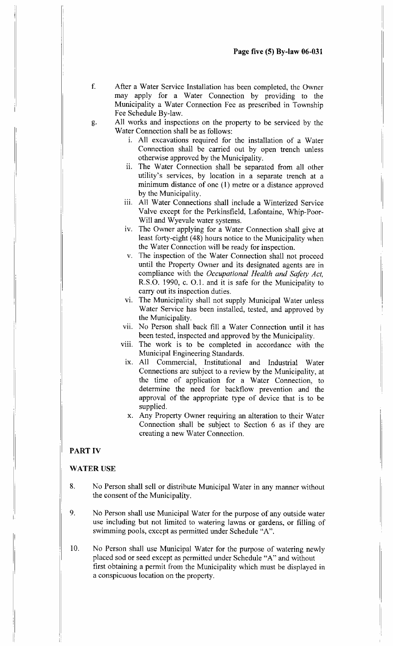- £ After a Water Service Installation has been completed, the Owner may apply for a Water Connection by providing to the Municipality a Water Connection Fee as prescribed in Township Fee Schedule By-law.
- g. All works and inspections on the property to be serviced by the Water Connection shall be as follows:
	- <sup>i</sup> . All excavations required for the installation of a Water Connection shall be carried out by open trench unless otherwise approved by the Municipality.
	- ii. The Water Connection shall be separated from all other utility's services, by location in a separate trench at a minimum distance of one (1) metre or a distance approved by the Municipality.
	- iii. All Water Connections shall include a Winterized Service Valve except for the Perkinsfield, Lafontaine, Whip-Poor-Will and Wyevale water systems.
	- iv. The Owner applying for a Water Connection shall give at least forty-eight (48) hours notice to the Municipality when the Water Connection will be ready for inspection .
	- v. The inspection of the Water Connection shall not proceed until the Property Owner and its designated agents are in compliance with the Occupational Health and Safety Act, R.S.O. 1990, c. O.1. and it is safe for the Municipality to carry out its inspection duties,
	- vi. The Municipality shall not supply Municipal Water unless Water Service has been installed, tested, and approved by the Municipality.
	- vii. No Person shall back fill a Water Connection until it has been tested, inspected and approved by the Municipality.
	- viii. The work is to be completed in accordance with the Municipal Engineering Standards .
	- ix . All Commercial, Institutional and Industrial Water Connections are subject to a review by the Municipality, at the time of application for a Water Connection, to determine the need for backflow prevention and the approval of the appropriate type of device that is to be supplied.
	- x. Any Property Owner requiring an alteration to their Water Connection shall be subject to Section 6 as if they are creating a new Water Connection .

## PART IV

#### WATER USE

- 8. No Person shall sell or distribute Municipal Water in any manner without the consent of the Municipality.
- 9. No Person shall use Municipal Water for the purpose of any outside water use including but not limited to watering lawns or gardens, or filling of swimming pools, except as permitted under Schedule "A".
- 10. No Person shall use Municipal Water for the purpose of watering newly placed sod or seed except as permitted under Schedule "A" and without first obtaining a permit from the Municipality which must be displayed in a conspicuous location on the property.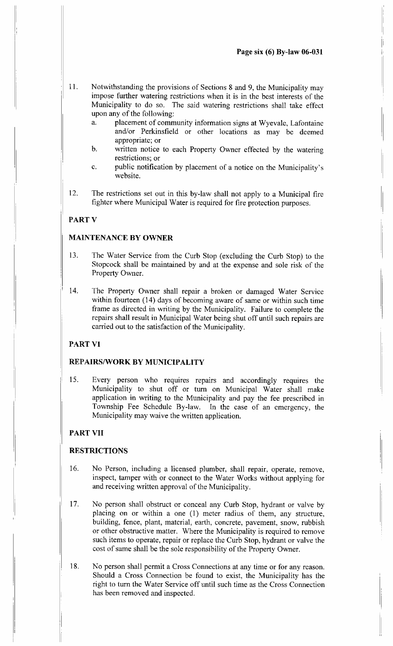- 11. Notwithstanding the provisions of Sections 8 and 9, the Municipality may impose further watering restrictions when it is in the best interests of the Municipality to do so. The said watering restrictions shall take effect upon any of the following:
	- a. placement of community information signs at Wyevale, Lafontaine and/or Perkinsfield or other locations as may be deemed appropriate; or
	- b. written notice to each Property Owner effected by the watering restrictions: or
	- c. public notification by placement of a notice on the Municipality's website.
- 12. The restrictions set out in this by-law shall not apply to a Municipal fire fighter where Municipal Water is required for fire protection purposes.

#### PART V

#### MAINTENANCE BY OWNER

- 13. The Water Service from the Curb Stop (excluding the Curb Stop) to the Stopcock shall be maintained by and at the expense and sole risk of the Property Owner.
- 14. The Property Owner shall repair a broken or damaged Water Service within fourteen (14) days of becoming aware of same or within such time frame as directed in writing by the Municipality. Failure to complete the repairs shall result in Municipal Water being shut off until such repairs are carried out to the satisfaction of the Municipality.

## PART VI

#### REPAIRS/WORK BY MUNICIPALITY

<sup>15</sup> . Every person who requires repairs and accordingly requires the Municipality to shut off or turn on Municipal Water shall make application in writing to the Municipality and pay the fee prescribed in Township Fee Schedule By-law. In the case of an emergency, the Municipality may waive the written application.

## PART VII

#### RESTRICTIONS

- 16. No Person, including a licensed plumber, shall repair, operate, remove, inspect, tamper with or connect to the Water Works without applying for and receiving written approval of the Municipality .
- 17. No person shall obstruct or conceal any Curb Stop, hydrant or valve by placing on or within a one (1) meter radius of them, any structure, building, fence, plant, material, earth, concrete, pavement, snow, rubbish or other obstructive matter. Where the Municipality is required to remove such items to operate, repair or replace the Curb Stop, hydrant or valve the cost of same shall be the sole responsibility of the Property Owner.
- 18. No person shall permit a Cross Connections at any time or for any reason. Should a Cross Connection be found to exist, the Municipality has the right to turn the Water Service off until such time as the Cross Connection has been removed and inspected.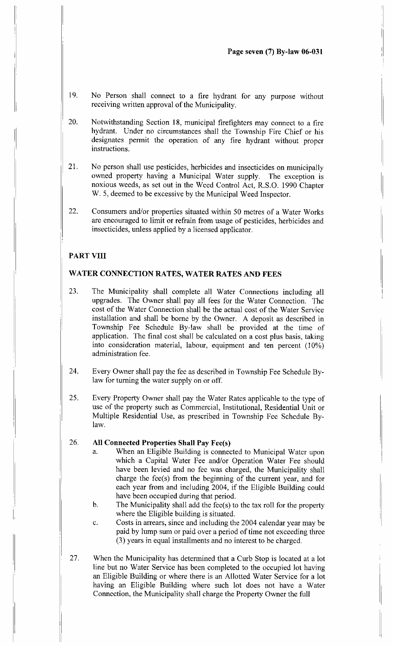- 19. No Person shall connect to a fire hydrant for any purpose without receiving written approval of the Municipality.
- 20. Notwithstanding Section 18, municipal firefighters may connect to a fire hydrant. Under no circumstances shall the Township Fire Chief or his designates permit the operation of any fire hydrant without proper instructions.
- 21 . No person shall use pesticides, herbicides and insecticides on municipally owned property having a Municipal Water supply. The exception is noxious weeds, as set out in the Weed Control Act, R.S.O. 1990 Chapter W. 5, deemed to be excessive by the Municipal Weed Inspector.
- 22. Consumers and/or properties situated within 50 metres of a Water Works are encouraged to limit or refrain from usage of pesticides, herbicides and insecticides, unless applied by a licensed applicator.

## PART VIII

### WATER CONNECTION RATES, WATER RATES AND FEES

- 23. The Municipality shall complete all Water Connections including all upgrades. The Owner shall pay all fees for the Water Connection. The cost of the Water Connection shall be the actual cost of the Water Service installation and shall be borne by the Owner. A deposit as described in Township Fee Schedule By-law shall be provided at the time of application. The final cost shall be calculated on a cost plus basis, taking into consideration material, labour, equipment and ten percent (10%) administration fee .
- 24. Every Owner shall pay the fee as described in Township Fee Schedule Bylaw for turning the water supply on or off.
- <sup>25</sup> . Every Property Owner shall pay the Water Rates applicable to the type of use of the property such as Commercial, Institutional, Residential Unit or Multiple Residential Use, as prescribed in Township Fee Schedule Bylaw.

#### 26. All Connected Properties Shall Pay Fee(s)

- a. When an Eligible Building is connected to Municipal Water upon which a Capital Water Fee and/or Operation Water Fee should have been levied and no fee was charged, the Municipality shall charge the fee(s) from the beginning of the current year, and for each year from and including 2004, if the Eligible Building could have been occupied during that period.
- b. The Municipality shall add the fee(s) to the tax roll for the property where the Eligible building is situated.
- c. Costs in arrears, since and including the 2004 calendar year may be paid by lump sum or paid over a period of time not exceeding three (3) years in equal installments and no interest to be charged.
- 27. When the Municipality has determined that a Curb Stop is located at a lot line but no Water Service has been completed to the occupied lot having an Eligible Building or where there is an Allotted Water Service for a lot having an Eligible Building where such lot does not have a Water Connection, the Municipality shall charge the Property Owner the full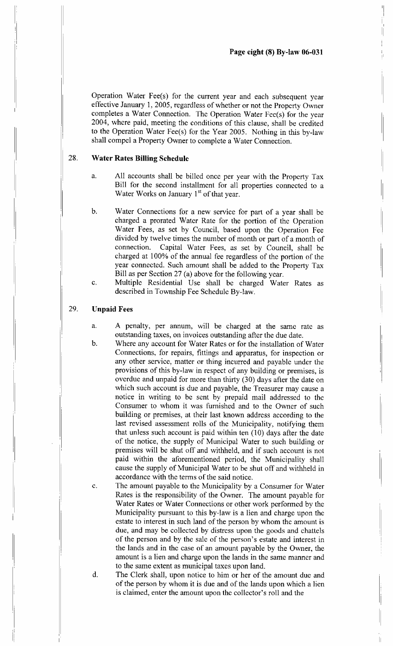Operation Water Fee(s) for the current year and each subsequent year effective January l, 2005, regardless of whether or not the Property Owner completes a Water Connection. The Operation Water Fee(s) for the year 2004, where paid, meeting the conditions of this clause, shall be credited to the Operation Water Fee(s) for the Year 2005 . Nothing in this by-law shall compel a Property Owner to complete a Water Connection.

#### 28. Water Rates Billing Schedule

- a. All accounts shall be billed once per year with the Property Tax Bill for the second installment for all properties connected to a Water Works on January 1<sup>st</sup> of that year.
- b. Water Connections for a new service for part of a year shall be charged a prorated Water Rate for the portion of the Operation Water Fees, as set by Council, based upon the Operation Fee divided by twelve times the number of month or part of a month of connection. Capital Water Fees, as set by Council, shall be Capital Water Fees, as set by Council, shall be charged at 100% of the annual fee regardless of the portion of the year connected. Such amount shall be added to the Property Tax Bill as per Section 27 (a) above for the following year.
- c. Multiple Residential Use shall be charged Water Rates as described in Township Fee Schedule By-law.

#### 29. Unpaid Fees

- a. A penalty, per annum, will be charged at the same rate as outstanding taxes, on invoices outstanding after the due date,
- b. Where any account for Water Rates or for the installation of Water Connections, for repairs, fittings and apparatus, for inspection or any other service, matter or thing incurred and payable under the provisions of this by-law in respect of any building or premises, is overdue and unpaid for more than thirty (30) days after the date on which such account is due and payable, the Treasurer may cause a notice in writing to be sent by prepaid mail addressed to the Consumer to whom it was furnished and to the Owner of such building or premises, at their last known address according to the last revised assessment rolls of the Municipality, notifying them that unless such account is paid within ten (10) days after the date of the notice, the supply of Municipal Water to such building or premises will be shut off and withheld, and if such account is not paid within the aforementioned period, the Municipality shall cause the supply of Municipal Water to be shut off and withheld in accordance with the terms of the said notice.
- c. The amount payable to the Municipality by a Consumer for Water Rates is the responsibility of the Owner. The amount payable for Water Rates or Water Connections or other work performed by the Municipality pursuant to this by-law is a lien and charge upon the estate to interest in such land of the person by whom the amount is due, and may be collected by distress upon the goods and chattels of the person and by the sale of the person's estate and interest in the lands and in the case of an amount payable by the Owner, the amount is a lien and charge upon the lands in the same manner and to the same extent as municipal taxes upon land.
- d. The Clerk shall, upon notice to him or her of the amount due and of the person by whom it is due and of the lands upon which a lien is claimed, enter the amount upon the collector's roll and the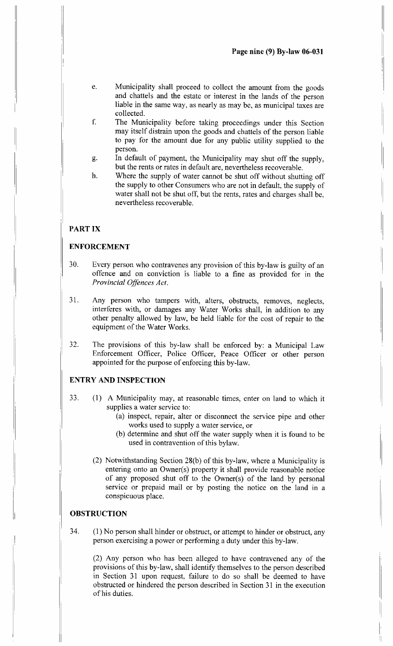- e. Municipality shall proceed to collect the amount from the goods and chattels and the estate or interest in the lands of the person liable in the same way, as nearly as may be, as municipal taxes are collected.
- f. The Municipality before taking proceedings under this Section may itself distrain upon the goods and chattels of the person liable to pay for the amount due for any public utility supplied to the person.
- g. In default of payment, the Municipality may shut off the supply, but the rents or rates in default are, nevertheless recoverable,
- h. Where the supply of water cannot be shut off without shutting off the supply to other Consumers who are not in default, the supply of water shall not be shut off, but the rents, rates and charges shall be, nevertheless recoverable.

## PART IX

## ENFORCEMENT

- 30. Every person who contravenes any provision of this by-law is guilty of an offence and on conviction is liable to a fine as provided for in the Provincial Offences Act.
- <sup>31</sup> . Any person who tampers with, alters, obstructs, removes, neglects, interferes with, or damages any Water Works shall, in addition to any other penalty allowed by law, be held liable for the cost of repair to the equipment of the Water Works.
- 32. The provisions of this by-law shall be enforced by : a Municipal Law Enforcement Officer, Police Officer, Peace Officer or other person appointed for the purpose of enforcing this by-law.

## ENTRY AND INSPECTION

- 33. (1) A Municipality may, at reasonable times, enter on land to which it supplies a water service to:
	- (a) inspect, repair, alter or disconnect the service pipe and other works used to supply a water service, or
	- (b) determine and shut off the water supply when it is found to be used in contravention of this bylaw.
	- (2) Notwithstanding Section 28(b) of this by-law, where a Municipality is entering onto an Owner(s) property it shall provide reasonable notice of any proposed shut off to the Owner(s) of the land by personal service or prepaid mail or by posting the notice on the land in a conspicuous place.

## **OBSTRUCTION**

34. (1) No person shall hinder or obstruct, or attempt to hinder or obstruct, any person exercising a power or performing a duty under this by-law.

(2) Any person who has been alleged to have contravened any of the provisions of this by-law, shall identify themselves to the person described in Section 31 upon request, failure to do so shall be deemed to have obstructed or hindered the person described in Section 31 in the execution of his duties.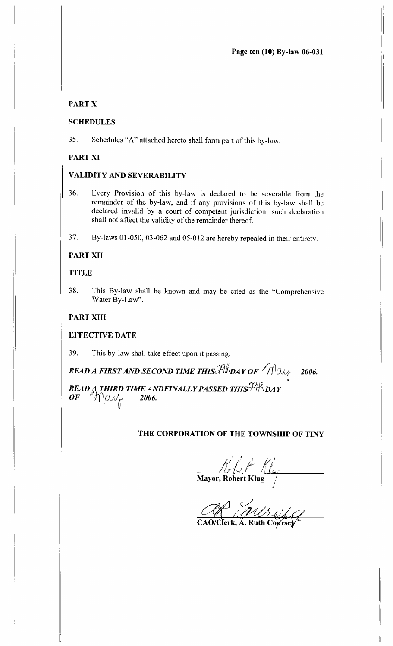Page ten (10) By-law 06-031

## PART X

## SCHEDULES

35 . Schedules "A" attached hereto shall form part of this by-law.

## PART XI

## VALIDITY AND SEVERABILITY

36. Every Provision of this by-law is declared to be severable from the remainder of the by-law, and if any provisions of this by-law shall be declared invalid by a court of competent jurisdiction, such declaration shall not affect the validity of the remainder thereof.

37. By-laws 01-050, 03-062 and 05-012 are hereby repealed in their entirety .

## PART XII

#### TITLE

38. This By-law shall be known and may be cited as the "Comprehensive Water By-Law".

## PART XIII

## EFFECTIVE DATE

39. This by-law shall take effect upon it passing.

READ A FIRST AND SECOND TIME THIS  $\mathscr{P}/\mathscr{R}$  DAY OF  $\mathscr{M}/\mathscr{A}$  2006.

READ A THIRD TIME ANDFINALLY PASSED THIS  $\mathcal{P} \mathcal{H}_{\mathbf{D}AY}$ <br>OF  $\mathcal{P}_{\mathbf{D}AY}$  $OF$  / May

## THE CORPORATION OF THE TOWNSHIP OF TINY

Comparation